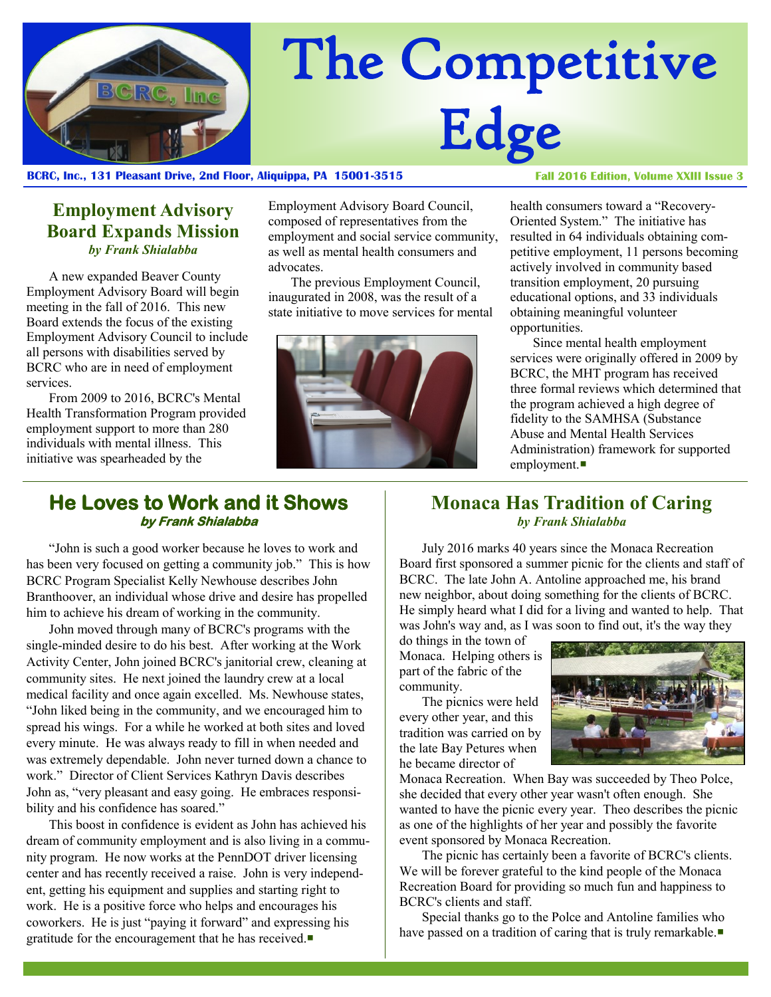

# The Competitive Edge

#### **BCRC, Inc., 131 Pleasant Drive, 2nd Floor, Aliquippa, PA 15001-3515**

**Fall 2016 Edition, Volume XXIII Issue 3** 

## **Employment Advisory Board Expands Mission** *by Frank Shialabba*

A new expanded Beaver County Employment Advisory Board will begin meeting in the fall of 2016. This new Board extends the focus of the existing Employment Advisory Council to include all persons with disabilities served by BCRC who are in need of employment services.

From 2009 to 2016, BCRC's Mental Health Transformation Program provided employment support to more than 280 individuals with mental illness. This initiative was spearheaded by the

Employment Advisory Board Council, composed of representatives from the employment and social service community, as well as mental health consumers and advocates.

The previous Employment Council, inaugurated in 2008, was the result of a state initiative to move services for mental



health consumers toward a "Recovery-Oriented System." The initiative has resulted in 64 individuals obtaining competitive employment, 11 persons becoming actively involved in community based transition employment, 20 pursuing educational options, and 33 individuals obtaining meaningful volunteer opportunities.

Since mental health employment services were originally offered in 2009 by BCRC, the MHT program has received three formal reviews which determined that the program achieved a high degree of fidelity to the SAMHSA (Substance Abuse and Mental Health Services Administration) framework for supported employment.

#### **He Loves to Work and it Shows by Frank Shialabba**

"John is such a good worker because he loves to work and has been very focused on getting a community job." This is how BCRC Program Specialist Kelly Newhouse describes John Branthoover, an individual whose drive and desire has propelled him to achieve his dream of working in the community.

John moved through many of BCRC's programs with the single-minded desire to do his best. After working at the Work Activity Center, John joined BCRC's janitorial crew, cleaning at community sites. He next joined the laundry crew at a local medical facility and once again excelled. Ms. Newhouse states, "John liked being in the community, and we encouraged him to spread his wings. For a while he worked at both sites and loved every minute. He was always ready to fill in when needed and was extremely dependable. John never turned down a chance to work." Director of Client Services Kathryn Davis describes John as, "very pleasant and easy going. He embraces responsibility and his confidence has soared."

This boost in confidence is evident as John has achieved his dream of community employment and is also living in a community program. He now works at the PennDOT driver licensing center and has recently received a raise. John is very independent, getting his equipment and supplies and starting right to work. He is a positive force who helps and encourages his coworkers. He is just "paying it forward" and expressing his gratitude for the encouragement that he has received.

#### **Monaca Has Tradition of Caring** *by Frank Shialabba*

July 2016 marks 40 years since the Monaca Recreation Board first sponsored a summer picnic for the clients and staff of BCRC. The late John A. Antoline approached me, his brand new neighbor, about doing something for the clients of BCRC. He simply heard what I did for a living and wanted to help. That was John's way and, as I was soon to find out, it's the way they

do things in the town of Monaca. Helping others is part of the fabric of the community.

The picnics were held every other year, and this tradition was carried on by the late Bay Petures when he became director of



Monaca Recreation. When Bay was succeeded by Theo Polce, she decided that every other year wasn't often enough. She wanted to have the picnic every year. Theo describes the picnic as one of the highlights of her year and possibly the favorite event sponsored by Monaca Recreation.

The picnic has certainly been a favorite of BCRC's clients. We will be forever grateful to the kind people of the Monaca Recreation Board for providing so much fun and happiness to BCRC's clients and staff.

Special thanks go to the Polce and Antoline families who have passed on a tradition of caring that is truly remarkable.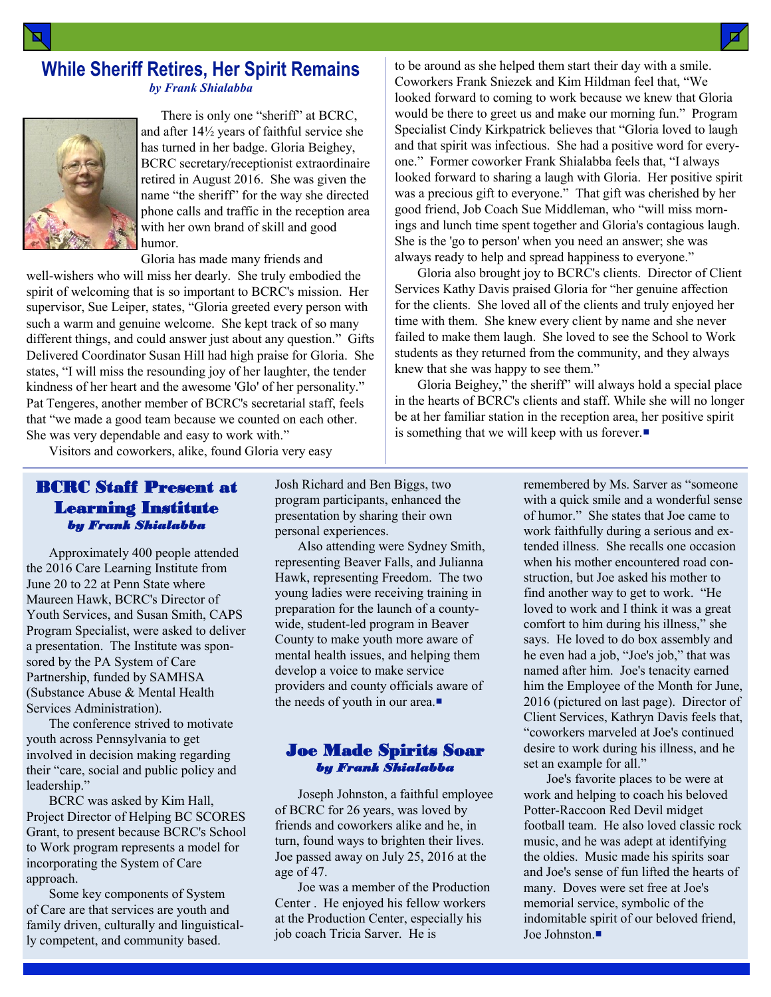## **While Sheriff Retires, Her Spirit Remains** *by Frank Shialabba*



 There is only one "sheriff" at BCRC, and after 14½ years of faithful service she has turned in her badge. Gloria Beighey, BCRC secretary/receptionist extraordinaire retired in August 2016. She was given the name "the sheriff" for the way she directed phone calls and traffic in the reception area with her own brand of skill and good humor.

Gloria has made many friends and

well-wishers who will miss her dearly. She truly embodied the spirit of welcoming that is so important to BCRC's mission. Her supervisor, Sue Leiper, states, "Gloria greeted every person with such a warm and genuine welcome. She kept track of so many different things, and could answer just about any question." Gifts Delivered Coordinator Susan Hill had high praise for Gloria. She states, "I will miss the resounding joy of her laughter, the tender kindness of her heart and the awesome 'Glo' of her personality." Pat Tengeres, another member of BCRC's secretarial staff, feels that "we made a good team because we counted on each other. She was very dependable and easy to work with."

Visitors and coworkers, alike, found Gloria very easy

#### BCRC Staff Present at Learning Institute *by Frank Shialabba*

Approximately 400 people attended the 2016 Care Learning Institute from June 20 to 22 at Penn State where Maureen Hawk, BCRC's Director of Youth Services, and Susan Smith, CAPS Program Specialist, were asked to deliver a presentation. The Institute was sponsored by the PA System of Care Partnership, funded by SAMHSA (Substance Abuse & Mental Health Services Administration).

The conference strived to motivate youth across Pennsylvania to get involved in decision making regarding their "care, social and public policy and leadership."

BCRC was asked by Kim Hall, Project Director of Helping BC SCORES Grant, to present because BCRC's School to Work program represents a model for incorporating the System of Care approach.

Some key components of System of Care are that services are youth and family driven, culturally and linguistically competent, and community based.

Josh Richard and Ben Biggs, two program participants, enhanced the presentation by sharing their own personal experiences.

Also attending were Sydney Smith, representing Beaver Falls, and Julianna Hawk, representing Freedom. The two young ladies were receiving training in preparation for the launch of a countywide, student-led program in Beaver County to make youth more aware of mental health issues, and helping them develop a voice to make service providers and county officials aware of the needs of youth in our area.

#### Joe Made Spirits Soar *by Frank Shialabba*

Joseph Johnston, a faithful employee of BCRC for 26 years, was loved by friends and coworkers alike and he, in turn, found ways to brighten their lives. Joe passed away on July 25, 2016 at the age of 47.

Joe was a member of the Production Center . He enjoyed his fellow workers at the Production Center, especially his job coach Tricia Sarver. He is

to be around as she helped them start their day with a smile. Coworkers Frank Sniezek and Kim Hildman feel that, "We looked forward to coming to work because we knew that Gloria would be there to greet us and make our morning fun." Program Specialist Cindy Kirkpatrick believes that "Gloria loved to laugh and that spirit was infectious. She had a positive word for everyone." Former coworker Frank Shialabba feels that, "I always looked forward to sharing a laugh with Gloria. Her positive spirit was a precious gift to everyone." That gift was cherished by her good friend, Job Coach Sue Middleman, who "will miss mornings and lunch time spent together and Gloria's contagious laugh. She is the 'go to person' when you need an answer; she was always ready to help and spread happiness to everyone."

Gloria also brought joy to BCRC's clients. Director of Client Services Kathy Davis praised Gloria for "her genuine affection for the clients. She loved all of the clients and truly enjoyed her time with them. She knew every client by name and she never failed to make them laugh. She loved to see the School to Work students as they returned from the community, and they always knew that she was happy to see them."

Gloria Beighey," the sheriff" will always hold a special place in the hearts of BCRC's clients and staff. While she will no longer be at her familiar station in the reception area, her positive spirit is something that we will keep with us forever.

> remembered by Ms. Sarver as "someone with a quick smile and a wonderful sense of humor." She states that Joe came to work faithfully during a serious and extended illness. She recalls one occasion when his mother encountered road construction, but Joe asked his mother to find another way to get to work. "He loved to work and I think it was a great comfort to him during his illness," she says. He loved to do box assembly and he even had a job, "Joe's job," that was named after him. Joe's tenacity earned him the Employee of the Month for June, 2016 (pictured on last page). Director of Client Services, Kathryn Davis feels that, "coworkers marveled at Joe's continued desire to work during his illness, and he set an example for all."

> Joe's favorite places to be were at work and helping to coach his beloved Potter-Raccoon Red Devil midget football team. He also loved classic rock music, and he was adept at identifying the oldies. Music made his spirits soar and Joe's sense of fun lifted the hearts of many. Doves were set free at Joe's memorial service, symbolic of the indomitable spirit of our beloved friend, Joe Johnston.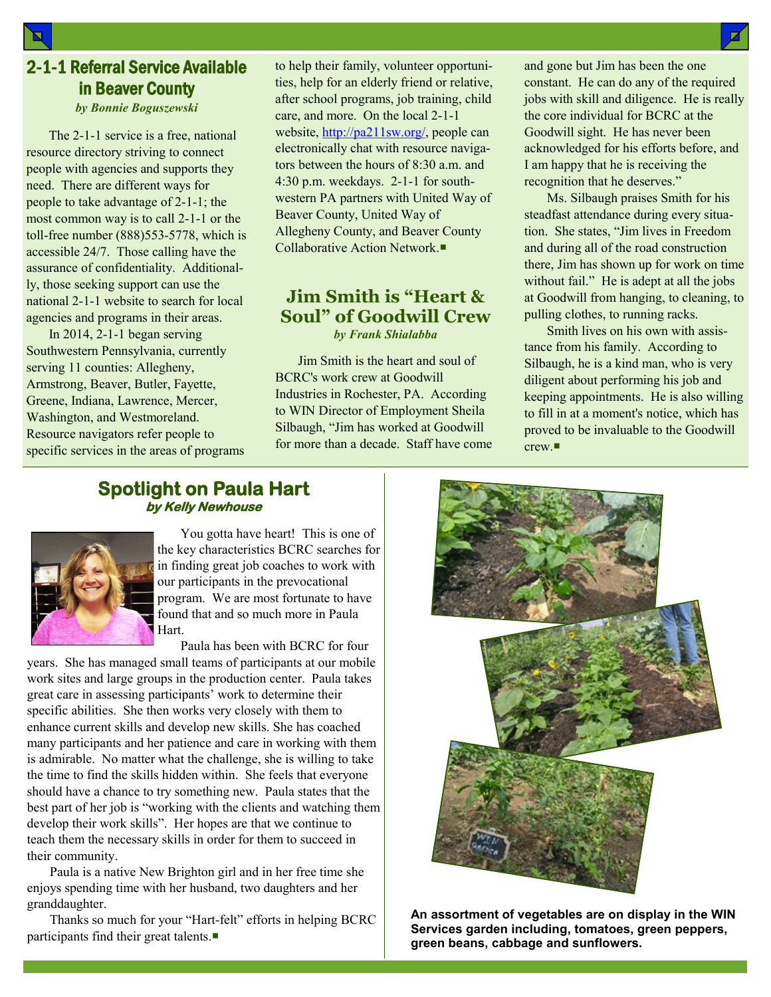# 2-1-1 Referral Service Available in Beaver County

*by Bonnie Boguszewski*

The 2-1-1 service is a free, national resource directory striving to connect people with agencies and supports they need. There are different ways for people to take advantage of 2-1-1; the most common way is to call 2-1-1 or the toll-free number (888)553-5778, which is accessible 24/7. Those calling have the assurance of confidentiality. Additionally, those seeking support can use the national 2-1-1 website to search for local agencies and programs in their areas.

In 2014, 2-1-1 began serving Southwestern Pennsylvania, currently serving 11 counties: Allegheny, Armstrong, Beaver, Butler, Fayette, Greene, Indiana, Lawrence, Mercer, Washington, and Westmoreland. Resource navigators refer people to specific services in the areas of programs to help their family, volunteer opportunities, help for an elderly friend or relative, after school programs, job training, child care, and more. On the local 2-1-1 website, [http://pa211sw.org/,](http://pa211sw.org/) people can electronically chat with resource navigators between the hours of 8:30 a.m. and 4:30 p.m. weekdays. 2-1-1 for southwestern PA partners with United Way of Beaver County, United Way of Allegheny County, and Beaver County Collaborative Action Network.

#### **Jim Smith is "Heart & Soul" of Goodwill Crew** *by Frank Shialabba*

Jim Smith is the heart and soul of BCRC's work crew at Goodwill Industries in Rochester, PA. According to WIN Director of Employment Sheila Silbaugh, "Jim has worked at Goodwill for more than a decade. Staff have come and gone but Jim has been the one constant. He can do any of the required jobs with skill and diligence. He is really the core individual for BCRC at the Goodwill sight. He has never been acknowledged for his efforts before, and I am happy that he is receiving the recognition that he deserves."

Ms. Silbaugh praises Smith for his steadfast attendance during every situation. She states, "Jim lives in Freedom and during all of the road construction there, Jim has shown up for work on time without fail." He is adept at all the jobs at Goodwill from hanging, to cleaning, to pulling clothes, to running racks.

Smith lives on his own with assistance from his family. According to Silbaugh, he is a kind man, who is very diligent about performing his job and keeping appointments. He is also willing to fill in at a moment's notice, which has proved to be invaluable to the Goodwill crew.

## **Spotlight on Paula Hart by Kelly Newhouse**



 You gotta have heart! This is one of the key characteristics BCRC searches for in finding great job coaches to work with our participants in the prevocational program. We are most fortunate to have found that and so much more in Paula Hart.

Paula has been with BCRC for four

years. She has managed small teams of participants at our mobile work sites and large groups in the production center. Paula takes great care in assessing participants' work to determine their specific abilities. She then works very closely with them to enhance current skills and develop new skills. She has coached many participants and her patience and care in working with them is admirable. No matter what the challenge, she is willing to take the time to find the skills hidden within. She feels that everyone should have a chance to try something new. Paula states that the best part of her job is "working with the clients and watching them develop their work skills". Her hopes are that we continue to teach them the necessary skills in order for them to succeed in their community.

Paula is a native New Brighton girl and in her free time she enjoys spending time with her husband, two daughters and her granddaughter.

Thanks so much for your "Hart-felt" efforts in helping BCRC participants find their great talents.



**An assortment of vegetables are on display in the WIN Services garden including, tomatoes, green peppers, green beans, cabbage and sunflowers.**